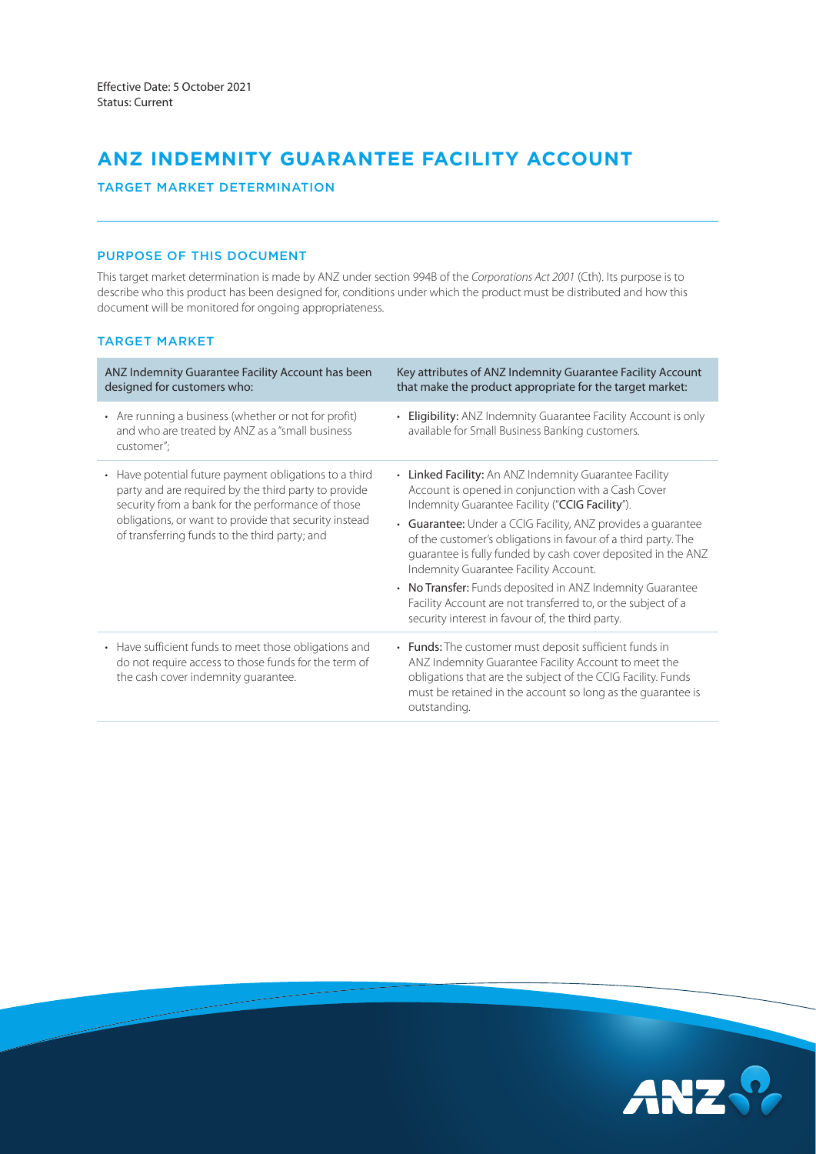# **ANZ INDEMNITY GUARANTEE FACILITY ACCOUNT**

## TARGET MARKET DETERMINATION

# PURPOSE OF THIS DOCUMENT

This target market determination is made by ANZ under section 994B of the *Corporations Act 2001* (Cth). Its purpose is to describe who this product has been designed for, conditions under which the product must be distributed and how this document will be monitored for ongoing appropriateness.

# TARGET MARKET

| ANZ Indemnity Guarantee Facility Account has been<br>designed for customers who:                                                                                                                                                                                              | Key attributes of ANZ Indemnity Guarantee Facility Account<br>that make the product appropriate for the target market:                                                                                                                                        |
|-------------------------------------------------------------------------------------------------------------------------------------------------------------------------------------------------------------------------------------------------------------------------------|---------------------------------------------------------------------------------------------------------------------------------------------------------------------------------------------------------------------------------------------------------------|
| • Are running a business (whether or not for profit)<br>and who are treated by ANZ as a "small business<br>customer";                                                                                                                                                         | Eligibility: ANZ Indemnity Guarantee Facility Account is only<br>available for Small Business Banking customers.                                                                                                                                              |
| • Have potential future payment obligations to a third<br>party and are required by the third party to provide<br>security from a bank for the performance of those<br>obligations, or want to provide that security instead<br>of transferring funds to the third party; and | • Linked Facility: An ANZ Indemnity Guarantee Facility<br>Account is opened in conjunction with a Cash Cover<br>Indemnity Guarantee Facility ("CCIG Facility").                                                                                               |
|                                                                                                                                                                                                                                                                               | • Guarantee: Under a CCIG Facility, ANZ provides a guarantee<br>of the customer's obligations in favour of a third party. The<br>guarantee is fully funded by cash cover deposited in the ANZ<br>Indemnity Guarantee Facility Account.                        |
|                                                                                                                                                                                                                                                                               | • No Transfer: Funds deposited in ANZ Indemnity Guarantee<br>Facility Account are not transferred to, or the subject of a<br>security interest in favour of, the third party.                                                                                 |
| • Have sufficient funds to meet those obligations and<br>do not require access to those funds for the term of<br>the cash cover indemnity guarantee.                                                                                                                          | • Funds: The customer must deposit sufficient funds in<br>ANZ Indemnity Guarantee Facility Account to meet the<br>obligations that are the subject of the CCIG Facility. Funds<br>must be retained in the account so long as the quarantee is<br>outstanding. |

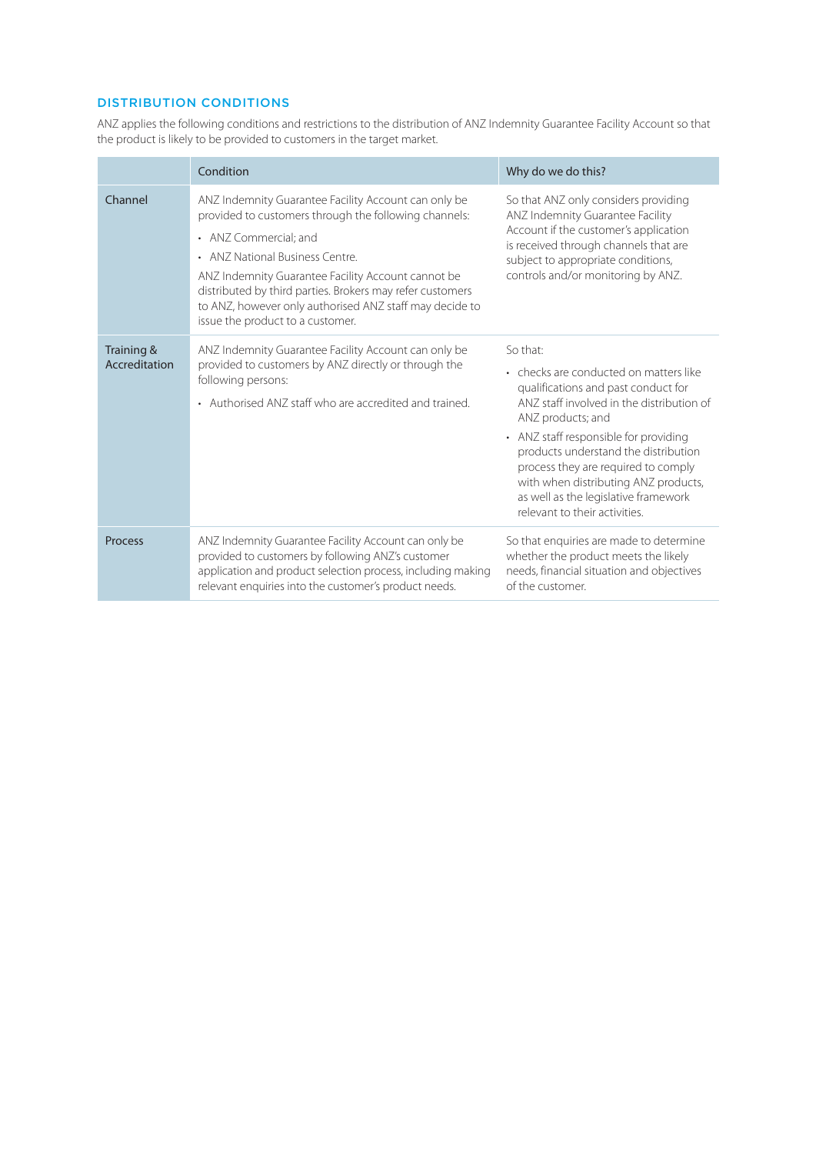# DISTRIBUTION CONDITIONS

ANZ applies the following conditions and restrictions to the distribution of ANZ Indemnity Guarantee Facility Account so that the product is likely to be provided to customers in the target market.

|                             | Condition                                                                                                                                                                                                                                                                                                                                                                                   | Why do we do this?                                                                                                                                                                                                                                                                                                                                                                                   |  |
|-----------------------------|---------------------------------------------------------------------------------------------------------------------------------------------------------------------------------------------------------------------------------------------------------------------------------------------------------------------------------------------------------------------------------------------|------------------------------------------------------------------------------------------------------------------------------------------------------------------------------------------------------------------------------------------------------------------------------------------------------------------------------------------------------------------------------------------------------|--|
| Channel                     | ANZ Indemnity Guarantee Facility Account can only be<br>provided to customers through the following channels:<br>• ANZ Commercial; and<br>• ANZ National Business Centre.<br>ANZ Indemnity Guarantee Facility Account cannot be<br>distributed by third parties. Brokers may refer customers<br>to ANZ, however only authorised ANZ staff may decide to<br>issue the product to a customer. | So that ANZ only considers providing<br>ANZ Indemnity Guarantee Facility<br>Account if the customer's application<br>is received through channels that are<br>subject to appropriate conditions,<br>controls and/or monitoring by ANZ.                                                                                                                                                               |  |
| Training &<br>Accreditation | ANZ Indemnity Guarantee Facility Account can only be<br>provided to customers by ANZ directly or through the<br>following persons:<br>• Authorised ANZ staff who are accredited and trained.                                                                                                                                                                                                | So that:<br>• checks are conducted on matters like<br>qualifications and past conduct for<br>ANZ staff involved in the distribution of<br>ANZ products; and<br>• ANZ staff responsible for providing<br>products understand the distribution<br>process they are required to comply<br>with when distributing ANZ products,<br>as well as the legislative framework<br>relevant to their activities. |  |
| <b>Process</b>              | ANZ Indemnity Guarantee Facility Account can only be<br>provided to customers by following ANZ's customer<br>application and product selection process, including making<br>relevant enquiries into the customer's product needs.                                                                                                                                                           | So that enquiries are made to determine<br>whether the product meets the likely<br>needs, financial situation and objectives<br>of the customer.                                                                                                                                                                                                                                                     |  |